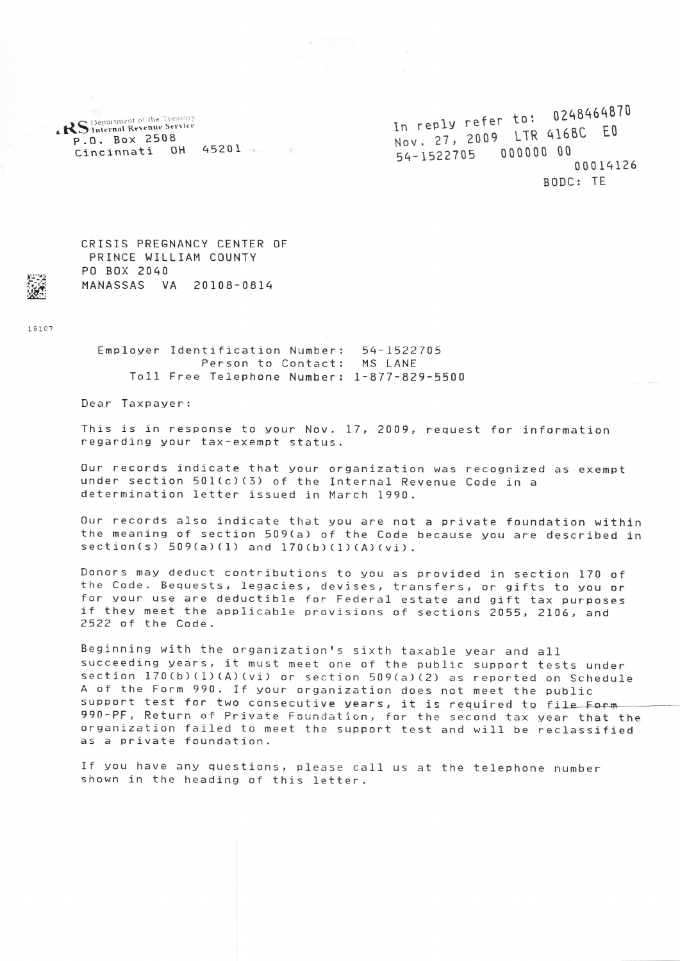**RS** Department of the Treasury P.O. Box 2508 Cincinnati 0H <sup>4520</sup><sup>1</sup>

In reply refer to: 0248464870<br>In reply refer to: 01680 EQ In reply refer to:<br>Nov. 27, 2009 LTR 4168C EO 54-1522705 000000 00 00014126 BODC: TE

CRISIS PREGNANCY CENTER OF PRINCE WILLIAM COUNTY PO BoX 2040 MANASSAS VA 20108-0814

I8107

Employer Identification Number: 54-L522705 Person to Contact; MS LANE To11 Free Telephone Number: 1-877-829-5500

 $\sim$ 

Dear Taxpayer:

This is in response to your Nov. 17, 2009, request for information regarding your tax-exempt status.

0ur records indicate that your organization was recognized as exempt under section 501(c)(3) of the Internal Revenue Code in a detenmination letter issued in March i990.

Our records also indicate that you are not a private foundation within the meaning of section 509(a) of the Code because you are described in  $setion(s) 509(a)(1) and 170(b)(1)(A)(vi).$ 

Donors may deduct contributions to you as provided in section 170 of<br>the Code. Bequests, legacies, devises, transfers, or gifts to you or<br>for your use are deductible for Federal estate and gift tax purposes if they meet the applicable provisions of sections 2055, 2106, and<br>2522 of the Code.

Beginning with the organization's sixth taxable year and all<br>succeeding years, it must meet one of the public support tests under<br>section 170(b)(l)(A)(vi) or section 509(a)(2) as reported on Schedule<br>A of the Form 990. If 990-PF, Return of Private Foundation, for the second tax year that the<br>organization failed to meet the support test and will be reclassified as a private foundation.

If you have any questions, please call us at the telephone number shown in the heading of this letter.